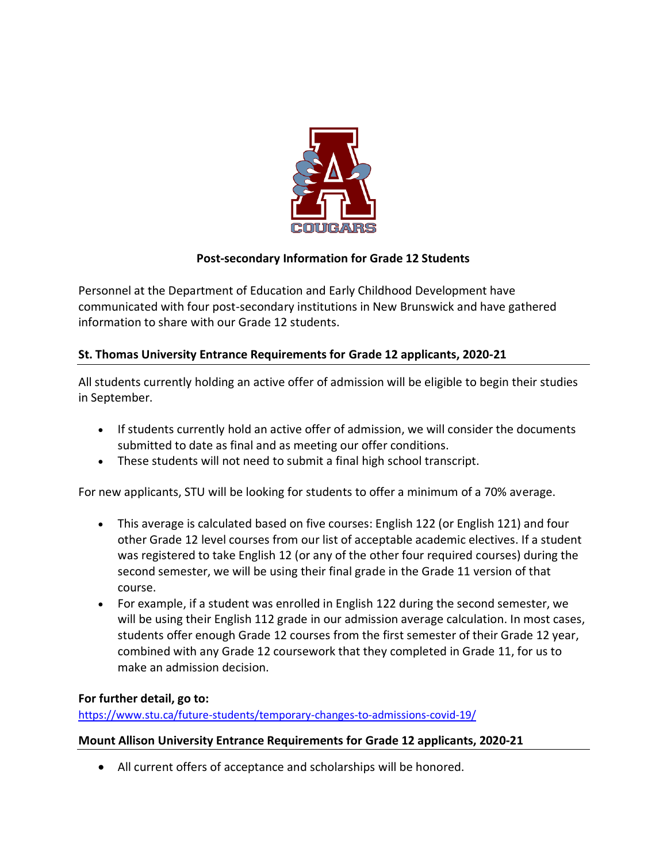

# **Post-secondary Information for Grade 12 Students**

Personnel at the Department of Education and Early Childhood Development have communicated with four post-secondary institutions in New Brunswick and have gathered information to share with our Grade 12 students.

### **St. Thomas University Entrance Requirements for Grade 12 applicants, 2020-21**

All students currently holding an active offer of admission will be eligible to begin their studies in September.

- If students currently hold an active offer of admission, we will consider the documents submitted to date as final and as meeting our offer conditions.
- These students will not need to submit a final high school transcript.

For new applicants, STU will be looking for students to offer a minimum of a 70% average.

- This average is calculated based on five courses: English 122 (or English 121) and four other Grade 12 level courses from our list of acceptable academic electives. If a student was registered to take English 12 (or any of the other four required courses) during the second semester, we will be using their final grade in the Grade 11 version of that course.
- For example, if a student was enrolled in English 122 during the second semester, we will be using their English 112 grade in our admission average calculation. In most cases, students offer enough Grade 12 courses from the first semester of their Grade 12 year, combined with any Grade 12 coursework that they completed in Grade 11, for us to make an admission decision.

### **For further detail, go to:**

[https://www.stu.ca/future-students/temporary-changes-to-admissions-covid-19/](https://www.stu.ca/future-students/temporary-changes-to-admissions-covid-19/​)

### **Mount Allison University Entrance Requirements for Grade 12 applicants, 2020-21**

All current offers of acceptance and scholarships will be honored.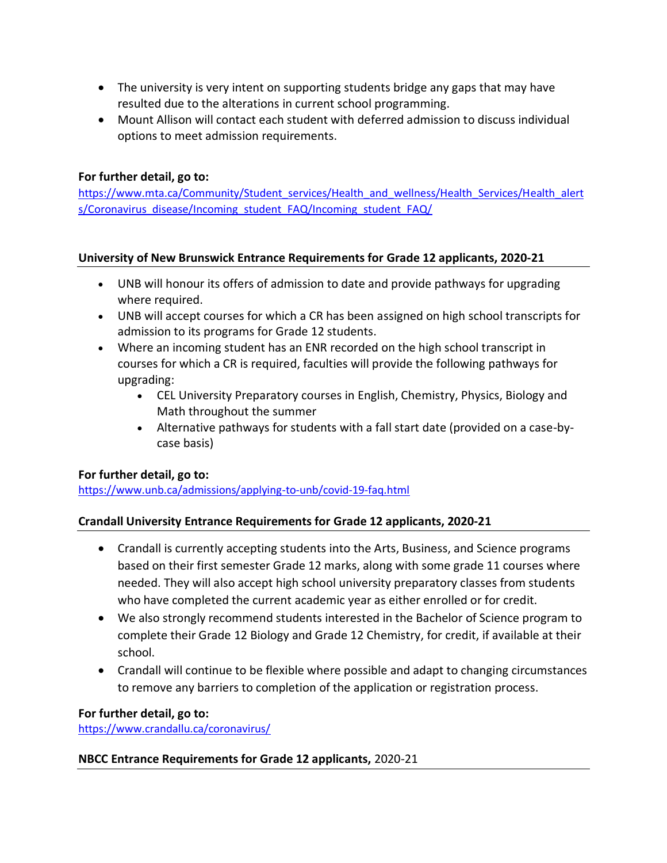- The university is very intent on supporting students bridge any gaps that may have resulted due to the alterations in current school programming.
- Mount Allison will contact each student with deferred admission to discuss individual options to meet admission requirements.

## **For further detail, go to:**

[https://www.mta.ca/Community/Student\\_services/Health\\_and\\_wellness/Health\\_Services/Health\\_alert](https://www.mta.ca/Community/Student_services/Health_and_wellness/Health_Services/Health_alerts/Coronavirus_disease/Incoming_student_FAQ/Incoming_student_FAQ/) [s/Coronavirus\\_disease/Incoming\\_student\\_FAQ/Incoming\\_student\\_FAQ/](https://www.mta.ca/Community/Student_services/Health_and_wellness/Health_Services/Health_alerts/Coronavirus_disease/Incoming_student_FAQ/Incoming_student_FAQ/)

### **University of New Brunswick Entrance Requirements for Grade 12 applicants, 2020-21**

- UNB will honour its offers of admission to date and provide pathways for upgrading where required.
- UNB will accept courses for which a CR has been assigned on high school transcripts for admission to its programs for Grade 12 students.
- Where an incoming student has an ENR recorded on the high school transcript in courses for which a CR is required, faculties will provide the following pathways for upgrading:
	- CEL University Preparatory courses in English, Chemistry, Physics, Biology and Math throughout the summer
	- Alternative pathways for students with a fall start date (provided on a case-bycase basis)

### **For further detail, go to:**

<https://www.unb.ca/admissions/applying-to-unb/covid-19-faq.html>

### **Crandall University Entrance Requirements for Grade 12 applicants, 2020-21**

- Crandall is currently accepting students into the Arts, Business, and Science programs based on their first semester Grade 12 marks, along with some grade 11 courses where needed. They will also accept high school university preparatory classes from students who have completed the current academic year as either enrolled or for credit.
- We also strongly recommend students interested in the Bachelor of Science program to complete their Grade 12 Biology and Grade 12 Chemistry, for credit, if available at their school.
- Crandall will continue to be flexible where possible and adapt to changing circumstances to remove any barriers to completion of the application or registration process.

### **For further detail, go to:**

<https://www.crandallu.ca/coronavirus/>

#### **NBCC Entrance Requirements for Grade 12 applicants,** 2020-21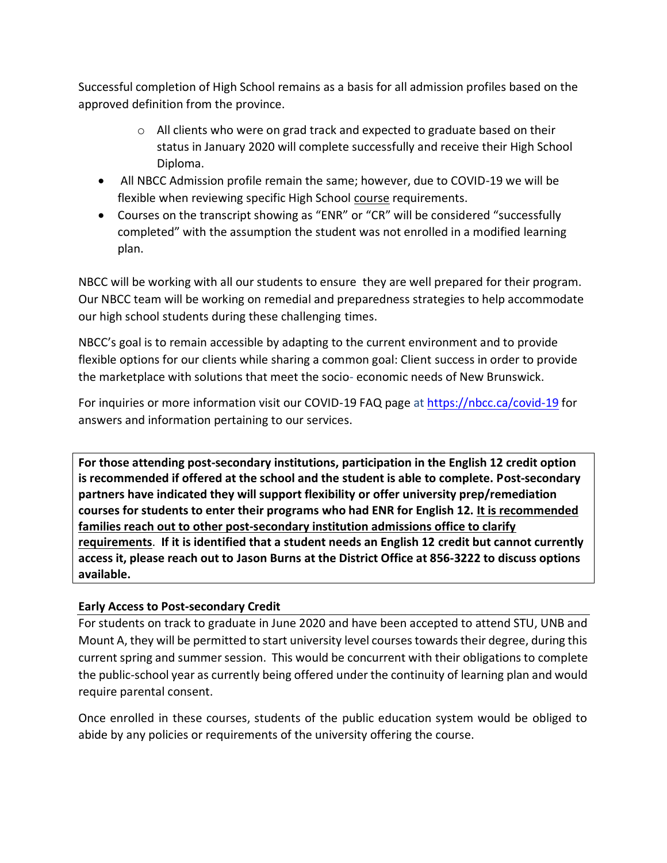Successful completion of High School remains as a basis for all admission profiles based on the approved definition from the province.

- $\circ$  All clients who were on grad track and expected to graduate based on their status in January 2020 will complete successfully and receive their High School Diploma.
- All NBCC Admission profile remain the same; however, due to COVID-19 we will be flexible when reviewing specific High School course requirements.
- Courses on the transcript showing as "ENR" or "CR" will be considered "successfully completed" with the assumption the student was not enrolled in a modified learning plan.

NBCC will be working with all our students to ensure they are well prepared for their program. Our NBCC team will be working on remedial and preparedness strategies to help accommodate our high school students during these challenging times.

NBCC's goal is to remain accessible by adapting to the current environment and to provide flexible options for our clients while sharing a common goal: Client success in order to provide the marketplace with solutions that meet the socio- economic needs of New Brunswick.

For inquiries or more information visit our COVID-19 FAQ page at<https://nbcc.ca/covid-19> for answers and information pertaining to our services.

**For those attending post-secondary institutions, participation in the English 12 credit option is recommended if offered at the school and the student is able to complete. Post-secondary partners have indicated they will support flexibility or offer university prep/remediation courses for students to enter their programs who had ENR for English 12. It is recommended families reach out to other post-secondary institution admissions office to clarify requirements**. **If it is identified that a student needs an English 12 credit but cannot currently access it, please reach out to Jason Burns at the District Office at 856-3222 to discuss options available.**

### **Early Access to Post-secondary Credit**

For students on track to graduate in June 2020 and have been accepted to attend STU, UNB and Mount A, they will be permitted to start university level courses towards their degree, during this current spring and summer session. This would be concurrent with their obligations to complete the public-school year as currently being offered under the continuity of learning plan and would require parental consent.

Once enrolled in these courses, students of the public education system would be obliged to abide by any policies or requirements of the university offering the course.